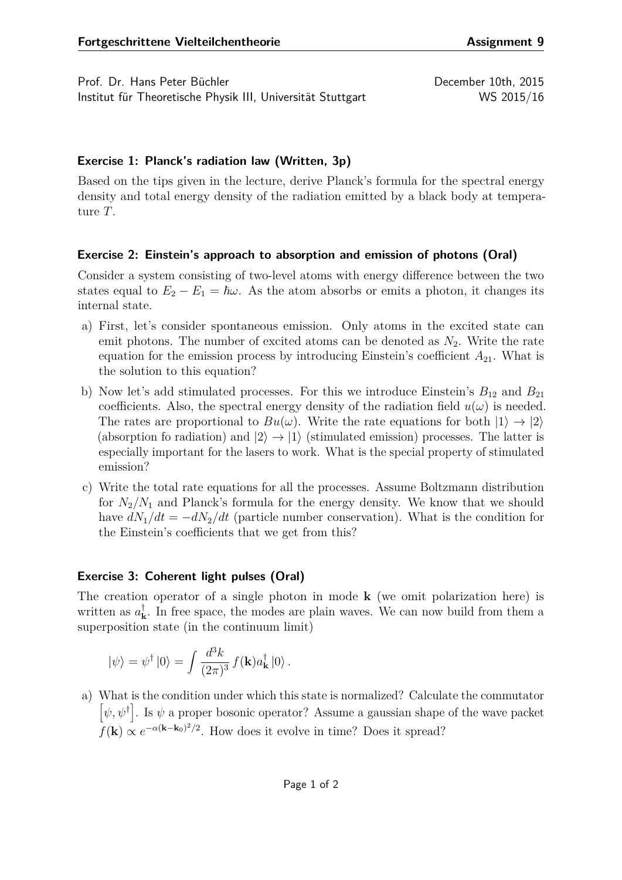Prof. Dr. Hans Peter Büchler December 10th, 2015 Institut für Theoretische Physik III, Universität Stuttgart WS 2015/16

## **Exercise 1: Planck's radiation law (Written, 3p)**

Based on the tips given in the lecture, derive Planck's formula for the spectral energy density and total energy density of the radiation emitted by a black body at temperature *T*.

## **Exercise 2: Einstein's approach to absorption and emission of photons (Oral)**

Consider a system consisting of two-level atoms with energy difference between the two states equal to  $E_2 - E_1 = \hbar \omega$ . As the atom absorbs or emits a photon, it changes its internal state.

- a) First, let's consider spontaneous emission. Only atoms in the excited state can emit photons. The number of excited atoms can be denoted as  $N_2$ . Write the rate equation for the emission process by introducing Einstein's coefficient *A*21. What is the solution to this equation?
- b) Now let's add stimulated processes. For this we introduce Einstein's  $B_{12}$  and  $B_{21}$ coefficients. Also, the spectral energy density of the radiation field  $u(\omega)$  is needed. The rates are proportional to  $Bu(\omega)$ . Write the rate equations for both  $|1\rangle \rightarrow |2\rangle$ (absorption fo radiation) and  $|2\rangle \rightarrow |1\rangle$  (stimulated emission) processes. The latter is especially important for the lasers to work. What is the special property of stimulated emission?
- c) Write the total rate equations for all the processes. Assume Boltzmann distribution for  $N_2/N_1$  and Planck's formula for the energy density. We know that we should have  $dN_1/dt = -dN_2/dt$  (particle number conservation). What is the condition for the Einstein's coefficients that we get from this?

## **Exercise 3: Coherent light pulses (Oral)**

The creation operator of a single photon in mode **k** (we omit polarization here) is written as *a* †  $\mathbf{k}$ . In free space, the modes are plain waves. We can now build from them a superposition state (in the continuum limit)

$$
|\psi\rangle = \psi^{\dagger} \,|0\rangle = \int \frac{d^3k}{(2\pi)^3} \, f(\mathbf{k}) a_{\mathbf{k}}^{\dagger} \,|0\rangle \,.
$$

a) What is the condition under which this state is normalized? Calculate the commutator  $[\psi, \psi^{\dagger}]$ . Is  $\psi$  a proper bosonic operator? Assume a gaussian shape of the wave packet  $f(\mathbf{k}) \propto e^{-\alpha(\mathbf{k}-\mathbf{k}_0)^2/2}$ . How does it evolve in time? Does it spread?